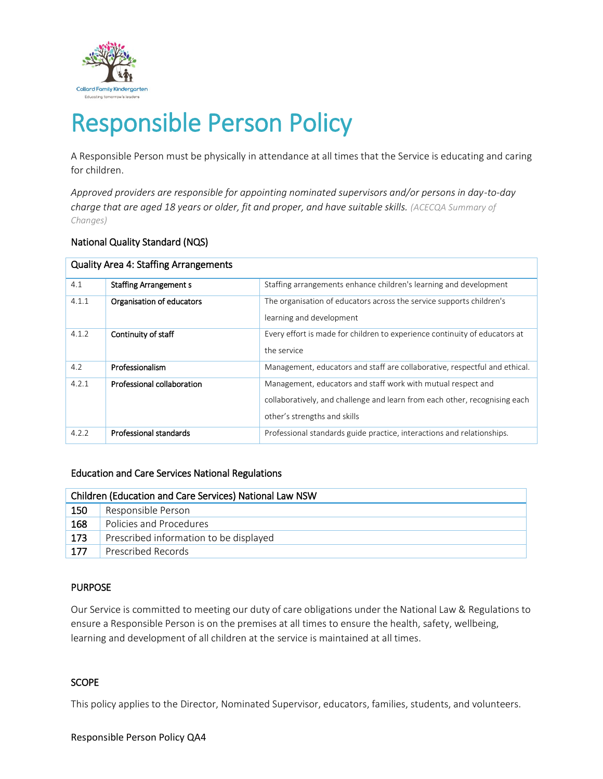

# Responsible Person Policy

A Responsible Person must be physically in attendance at all times that the Service is educating and caring for children.

*Approved providers are responsible for appointing nominated supervisors and/or persons in day-to-day charge that are aged 18 years or older, fit and proper, and have suitable skills. (ACECQA Summary of Changes)*

## National Quality Standard (NQS)

| <b>Quality Area 4: Staffing Arrangements</b> |                               |                                                                                                                                                                            |  |  |  |  |  |
|----------------------------------------------|-------------------------------|----------------------------------------------------------------------------------------------------------------------------------------------------------------------------|--|--|--|--|--|
| 4.1                                          | <b>Staffing Arrangement s</b> | Staffing arrangements enhance children's learning and development                                                                                                          |  |  |  |  |  |
| 4.1.1                                        | Organisation of educators     | The organisation of educators across the service supports children's<br>learning and development                                                                           |  |  |  |  |  |
| 4.1.2                                        | Continuity of staff           | Every effort is made for children to experience continuity of educators at<br>the service                                                                                  |  |  |  |  |  |
| 4.2                                          | Professionalism               | Management, educators and staff are collaborative, respectful and ethical.                                                                                                 |  |  |  |  |  |
| 4.2.1                                        | Professional collaboration    | Management, educators and staff work with mutual respect and<br>collaboratively, and challenge and learn from each other, recognising each<br>other's strengths and skills |  |  |  |  |  |
| 4.2.2                                        | Professional standards        | Professional standards guide practice, interactions and relationships.                                                                                                     |  |  |  |  |  |

#### Education and Care Services National Regulations

| Children (Education and Care Services) National Law NSW |                                        |  |  |  |
|---------------------------------------------------------|----------------------------------------|--|--|--|
| 150                                                     | Responsible Person                     |  |  |  |
| 168                                                     | Policies and Procedures                |  |  |  |
| 173                                                     | Prescribed information to be displayed |  |  |  |
| 177                                                     | Prescribed Records                     |  |  |  |

#### PURPOSE

Our Service is committed to meeting our duty of care obligations under the National Law & Regulations to ensure a Responsible Person is on the premises at all times to ensure the health, safety, wellbeing, learning and development of all children at the service is maintained at all times.

## **SCOPE**

This policy applies to the Director, Nominated Supervisor, educators, families, students, and volunteers.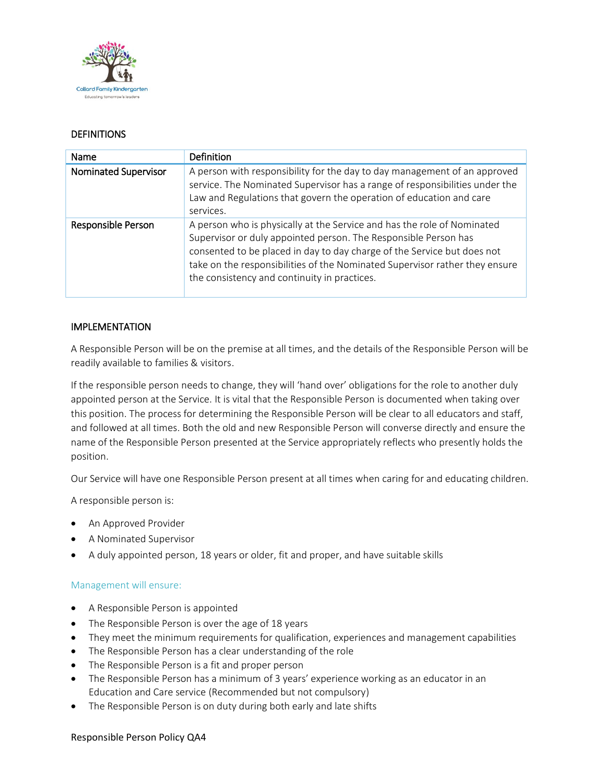

## **DEFINITIONS**

| Name                        | Definition                                                                                                                                                                                                                                                                                                                                           |  |  |
|-----------------------------|------------------------------------------------------------------------------------------------------------------------------------------------------------------------------------------------------------------------------------------------------------------------------------------------------------------------------------------------------|--|--|
| <b>Nominated Supervisor</b> | A person with responsibility for the day to day management of an approved<br>service. The Nominated Supervisor has a range of responsibilities under the<br>Law and Regulations that govern the operation of education and care<br>services.                                                                                                         |  |  |
| Responsible Person          | A person who is physically at the Service and has the role of Nominated<br>Supervisor or duly appointed person. The Responsible Person has<br>consented to be placed in day to day charge of the Service but does not<br>take on the responsibilities of the Nominated Supervisor rather they ensure<br>the consistency and continuity in practices. |  |  |

## IMPLEMENTATION

A Responsible Person will be on the premise at all times, and the details of the Responsible Person will be readily available to families & visitors.

If the responsible person needs to change, they will 'hand over' obligations for the role to another duly appointed person at the Service. It is vital that the Responsible Person is documented when taking over this position. The process for determining the Responsible Person will be clear to all educators and staff, and followed at all times. Both the old and new Responsible Person will converse directly and ensure the name of the Responsible Person presented at the Service appropriately reflects who presently holds the position.

Our Service will have one Responsible Person present at all times when caring for and educating children.

A responsible person is:

- An Approved Provider
- A Nominated Supervisor
- A duly appointed person, 18 years or older, fit and proper, and have suitable skills

#### Management will ensure:

- A Responsible Person is appointed
- The Responsible Person is over the age of 18 years
- They meet the minimum requirements for qualification, experiences and management capabilities
- The Responsible Person has a clear understanding of the role
- The Responsible Person is a fit and proper person
- The Responsible Person has a minimum of 3 years' experience working as an educator in an Education and Care service (Recommended but not compulsory)
- The Responsible Person is on duty during both early and late shifts

#### Responsible Person Policy QA4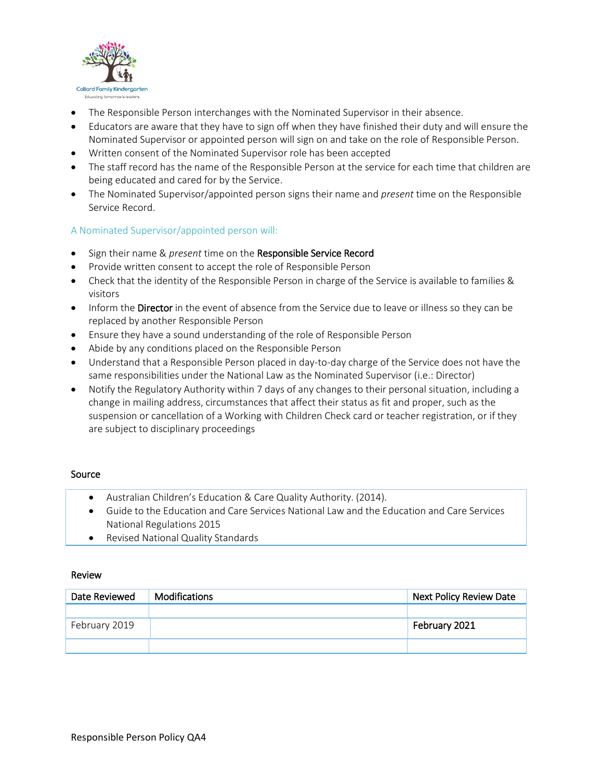

- The Responsible Person interchanges with the Nominated Supervisor in their absence.
- Educators are aware that they have to sign off when they have finished their duty and will ensure the Nominated Supervisor or appointed person will sign on and take on the role of Responsible Person.
- Written consent of the Nominated Supervisor role has been accepted
- The staff record has the name of the Responsible Person at the service for each time that children are being educated and cared for by the Service.
- The Nominated Supervisor/appointed person signs their name and *present* time on the Responsible Service Record.

## A Nominated Supervisor/appointed person will:

- Sign their name & *present* time on the Responsible Service Record
- Provide written consent to accept the role of Responsible Person
- Check that the identity of the Responsible Person in charge of the Service is available to families & visitors
- Inform the Director in the event of absence from the Service due to leave or illness so they can be replaced by another Responsible Person
- Ensure they have a sound understanding of the role of Responsible Person
- Abide by any conditions placed on the Responsible Person
- Understand that a Responsible Person placed in day-to-day charge of the Service does not have the same responsibilities under the National Law as the Nominated Supervisor (i.e.: Director)
- Notify the Regulatory Authority within 7 days of any changes to their personal situation, including a change in mailing address, circumstances that affect their status as fit and proper, such as the suspension or cancellation of a Working with Children Check card or teacher registration, or if they are subject to disciplinary proceedings

#### Source

- Australian Children's Education & Care Quality Authority. (2014).
- Guide to the Education and Care Services National Law and the Education and Care Services National Regulations 2015
- Revised National Quality Standards

#### Review

| Date Reviewed | <b>Modifications</b> | Next Policy Review Date |  |
|---------------|----------------------|-------------------------|--|
|               |                      |                         |  |
| February 2019 |                      | February 2021           |  |
|               |                      |                         |  |